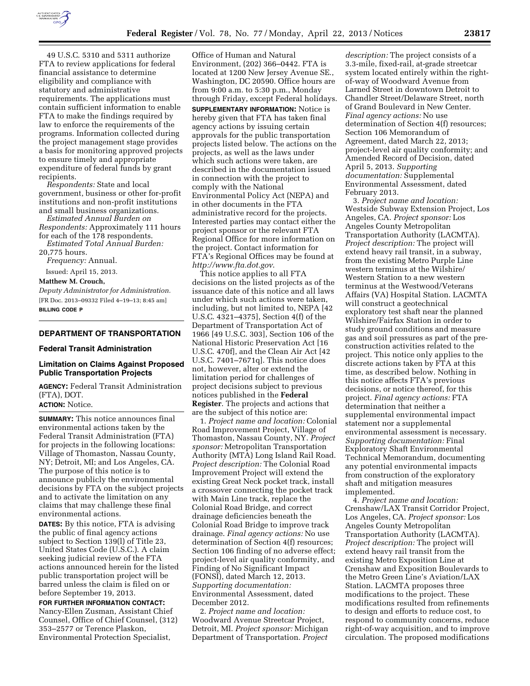

49 U.S.C. 5310 and 5311 authorize FTA to review applications for federal financial assistance to determine eligibility and compliance with statutory and administrative requirements. The applications must contain sufficient information to enable FTA to make the findings required by law to enforce the requirements of the programs. Information collected during the project management stage provides a basis for monitoring approved projects to ensure timely and appropriate expenditure of federal funds by grant recipients.

*Respondents:* State and local government, business or other for-profit institutions and non-profit institutions and small business organizations.

*Estimated Annual Burden on Respondents:* Approximately 111 hours for each of the 178 respondents.

*Estimated Total Annual Burden:*  20,775 hours.

*Frequency:* Annual.

Issued: April 15, 2013.

#### **Matthew M. Crouch,**

*Deputy Administrator for Administration.*  [FR Doc. 2013–09332 Filed 4–19–13; 8:45 am] **BILLING CODE P** 

# **DEPARTMENT OF TRANSPORTATION**

#### **Federal Transit Administration**

## **Limitation on Claims Against Proposed Public Transportation Projects**

**AGENCY:** Federal Transit Administration (FTA), DOT.

# **ACTION:** Notice.

**SUMMARY:** This notice announces final environmental actions taken by the Federal Transit Administration (FTA) for projects in the following locations: Village of Thomaston, Nassau County, NY; Detroit, MI; and Los Angeles, CA. The purpose of this notice is to announce publicly the environmental decisions by FTA on the subject projects and to activate the limitation on any claims that may challenge these final environmental actions.

**DATES:** By this notice, FTA is advising the public of final agency actions subject to Section 139(l) of Title 23, United States Code (U.S.C.). A claim seeking judicial review of the FTA actions announced herein for the listed public transportation project will be barred unless the claim is filed on or before September 19, 2013.

**FOR FURTHER INFORMATION CONTACT:**  Nancy-Ellen Zusman, Assistant Chief Counsel, Office of Chief Counsel, (312) 353–2577 or Terence Plaskon, Environmental Protection Specialist,

Office of Human and Natural Environment, (202) 366–0442. FTA is located at 1200 New Jersey Avenue SE., Washington, DC 20590. Office hours are from 9:00 a.m. to 5:30 p.m., Monday through Friday, except Federal holidays.

**SUPPLEMENTARY INFORMATION:** Notice is hereby given that FTA has taken final agency actions by issuing certain approvals for the public transportation projects listed below. The actions on the projects, as well as the laws under which such actions were taken, are described in the documentation issued in connection with the project to comply with the National Environmental Policy Act (NEPA) and in other documents in the FTA administrative record for the projects. Interested parties may contact either the project sponsor or the relevant FTA Regional Office for more information on the project. Contact information for FTA's Regional Offices may be found at *<http://www.fta.dot.gov>*.

This notice applies to all FTA decisions on the listed projects as of the issuance date of this notice and all laws under which such actions were taken, including, but not limited to, NEPA [42 U.S.C. 4321–4375], Section 4(f) of the Department of Transportation Act of 1966 [49 U.S.C. 303], Section 106 of the National Historic Preservation Act [16 U.S.C. 470f], and the Clean Air Act [42 U.S.C. 7401–7671q]. This notice does not, however, alter or extend the limitation period for challenges of project decisions subject to previous notices published in the **Federal Register**. The projects and actions that are the subject of this notice are:

1. *Project name and location:* Colonial Road Improvement Project, Village of Thomaston, Nassau County, NY. *Project sponsor:* Metropolitan Transportation Authority (MTA) Long Island Rail Road. *Project description:* The Colonial Road Improvement Project will extend the existing Great Neck pocket track, install a crossover connecting the pocket track with Main Line track, replace the Colonial Road Bridge, and correct drainage deficiencies beneath the Colonial Road Bridge to improve track drainage. *Final agency actions:* No use determination of Section 4(f) resources; Section 106 finding of no adverse effect; project-level air quality conformity, and Finding of No Significant Impact (FONSI), dated March 12, 2013. *Supporting documentation:*  Environmental Assessment, dated December 2012.

2. *Project name and location:*  Woodward Avenue Streetcar Project, Detroit, MI. *Project sponsor:* Michigan Department of Transportation. *Project* 

*description:* The project consists of a 3.3-mile, fixed-rail, at-grade streetcar system located entirely within the rightof-way of Woodward Avenue from Larned Street in downtown Detroit to Chandler Street/Delaware Street, north of Grand Boulevard in New Center. *Final agency actions:* No use determination of Section 4(f) resources; Section 106 Memorandum of Agreement, dated March 22, 2013; project-level air quality conformity; and Amended Record of Decision, dated April 5, 2013. *Supporting documentation:* Supplemental Environmental Assessment, dated February 2013.

3. *Project name and location:*  Westside Subway Extension Project, Los Angeles, CA. *Project sponsor:* Los Angeles County Metropolitan Transportation Authority (LACMTA). *Project description:* The project will extend heavy rail transit, in a subway, from the existing Metro Purple Line western terminus at the Wilshire/ Western Station to a new western terminus at the Westwood/Veterans Affairs (VA) Hospital Station. LACMTA will construct a geotechnical exploratory test shaft near the planned Wilshire/Fairfax Station in order to study ground conditions and measure gas and soil pressures as part of the preconstruction activities related to the project. This notice only applies to the discrete actions taken by FTA at this time, as described below. Nothing in this notice affects FTA's previous decisions, or notice thereof, for this project. *Final agency actions:* FTA determination that neither a supplemental environmental impact statement nor a supplemental environmental assessment is necessary. *Supporting documentation:* Final Exploratory Shaft Environmental Technical Memorandum, documenting any potential environmental impacts from construction of the exploratory shaft and mitigation measures implemented.

4. *Project name and location:*  Crenshaw/LAX Transit Corridor Project, Los Angeles, CA. *Project sponsor:* Los Angeles County Metropolitan Transportation Authority (LACMTA). *Project description:* The project will extend heavy rail transit from the existing Metro Exposition Line at Crenshaw and Exposition Boulevards to the Metro Green Line's Aviation/LAX Station. LACMTA proposes three modifications to the project. These modifications resulted from refinements to design and efforts to reduce cost, to respond to community concerns, reduce right-of-way acquisition, and to improve circulation. The proposed modifications